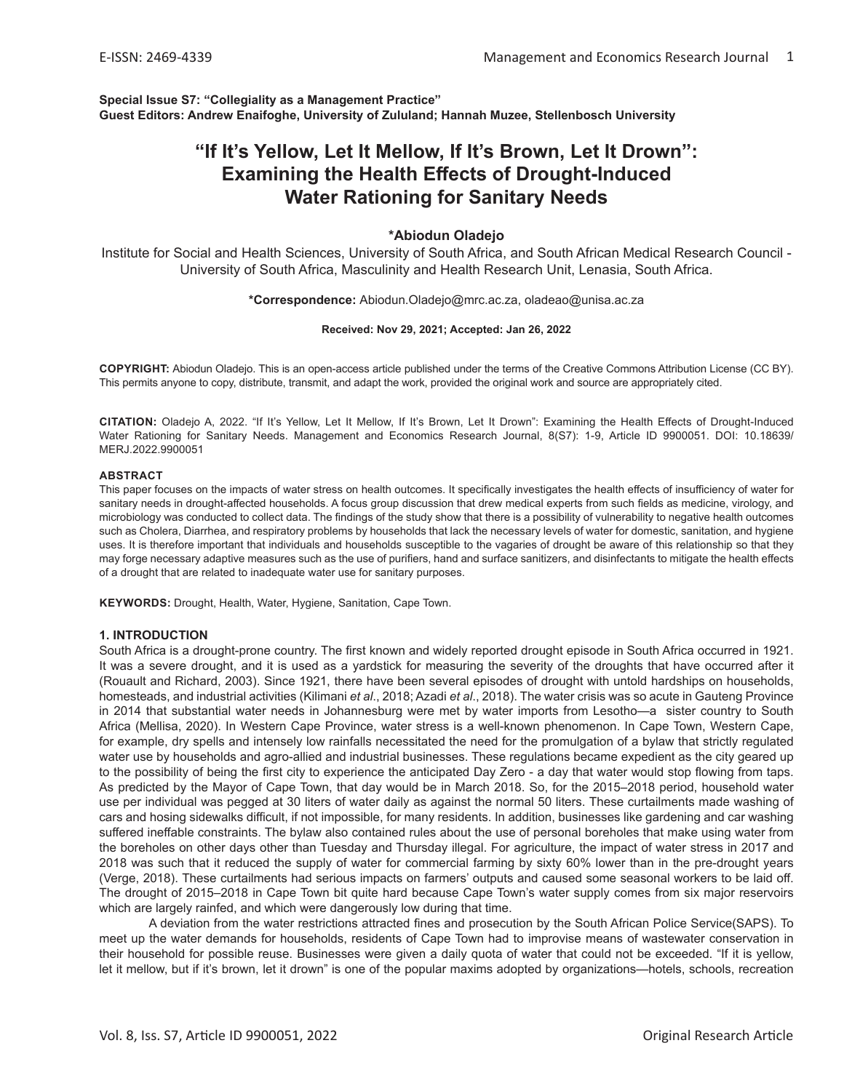**Special Issue S7: "Collegiality as a Management Practice" Guest Editors: Andrew Enaifoghe, University of Zululand; Hannah Muzee, Stellenbosch University**

# **"If It's Yellow, Let It Mellow, If It's Brown, Let It Drown": Examining the Health Effects of Drought-Induced Water Rationing for Sanitary Needs**

## **\*Abiodun Oladejo**

Institute for Social and Health Sciences, University of South Africa, and South African Medical Research Council - University of South Africa, Masculinity and Health Research Unit, Lenasia, South Africa.

#### **\*Correspondence:** Abiodun.Oladejo@mrc.ac.za, oladeao@unisa.ac.za

#### **Received: Nov 29, 2021; Accepted: Jan 26, 2022**

**COPYRIGHT:** Abiodun Oladejo. This is an open-access article published under the terms of the Creative Commons Attribution License (CC BY). This permits anyone to copy, distribute, transmit, and adapt the work, provided the original work and source are appropriately cited.

**CITATION:** Oladejo A, 2022. "If It's Yellow, Let It Mellow, If It's Brown, Let It Drown": Examining the Health Effects of Drought-Induced Water Rationing for Sanitary Needs. Management and Economics Research Journal, 8(S7): 1-9, Article ID 9900051. DOI: 10.18639/ MERJ.2022.9900051

#### **ABSTRACT**

This paper focuses on the impacts of water stress on health outcomes. It specifically investigates the health effects of insufficiency of water for sanitary needs in drought-affected households. A focus group discussion that drew medical experts from such fields as medicine, virology, and microbiology was conducted to collect data. The findings of the study show that there is a possibility of vulnerability to negative health outcomes such as Cholera, Diarrhea, and respiratory problems by households that lack the necessary levels of water for domestic, sanitation, and hygiene uses. It is therefore important that individuals and households susceptible to the vagaries of drought be aware of this relationship so that they may forge necessary adaptive measures such as the use of purifiers, hand and surface sanitizers, and disinfectants to mitigate the health effects of a drought that are related to inadequate water use for sanitary purposes.

**KEYWORDS:** Drought, Health, Water, Hygiene, Sanitation, Cape Town.

#### **1. INTRODUCTION**

South Africa is a drought-prone country. The first known and widely reported drought episode in South Africa occurred in 1921. It was a severe drought, and it is used as a yardstick for measuring the severity of the droughts that have occurred after it (Rouault and Richard, 2003). Since 1921, there have been several episodes of drought with untold hardships on households, homesteads, and industrial activities (Kilimani *et al*., 2018; Azadi *et al*., 2018). The water crisis was so acute in Gauteng Province in 2014 that substantial water needs in Johannesburg were met by water imports from Lesotho—a sister country to South Africa (Mellisa, 2020). In Western Cape Province, water stress is a well-known phenomenon. In Cape Town, Western Cape, for example, dry spells and intensely low rainfalls necessitated the need for the promulgation of a bylaw that strictly regulated water use by households and agro-allied and industrial businesses. These regulations became expedient as the city geared up to the possibility of being the first city to experience the anticipated Day Zero - a day that water would stop flowing from taps. As predicted by the Mayor of Cape Town, that day would be in March 2018. So, for the 2015–2018 period, household water use per individual was pegged at 30 liters of water daily as against the normal 50 liters. These curtailments made washing of cars and hosing sidewalks difficult, if not impossible, for many residents. In addition, businesses like gardening and car washing suffered ineffable constraints. The bylaw also contained rules about the use of personal boreholes that make using water from the boreholes on other days other than Tuesday and Thursday illegal. For agriculture, the impact of water stress in 2017 and 2018 was such that it reduced the supply of water for commercial farming by sixty 60% lower than in the pre-drought years (Verge, 2018). These curtailments had serious impacts on farmers' outputs and caused some seasonal workers to be laid off. The drought of 2015–2018 in Cape Town bit quite hard because Cape Town's water supply comes from six major reservoirs which are largely rainfed, and which were dangerously low during that time.

A deviation from the water restrictions attracted fines and prosecution by the South African Police Service(SAPS). To meet up the water demands for households, residents of Cape Town had to improvise means of wastewater conservation in their household for possible reuse. Businesses were given a daily quota of water that could not be exceeded. "If it is yellow, let it mellow, but if it's brown, let it drown" is one of the popular maxims adopted by organizations—hotels, schools, recreation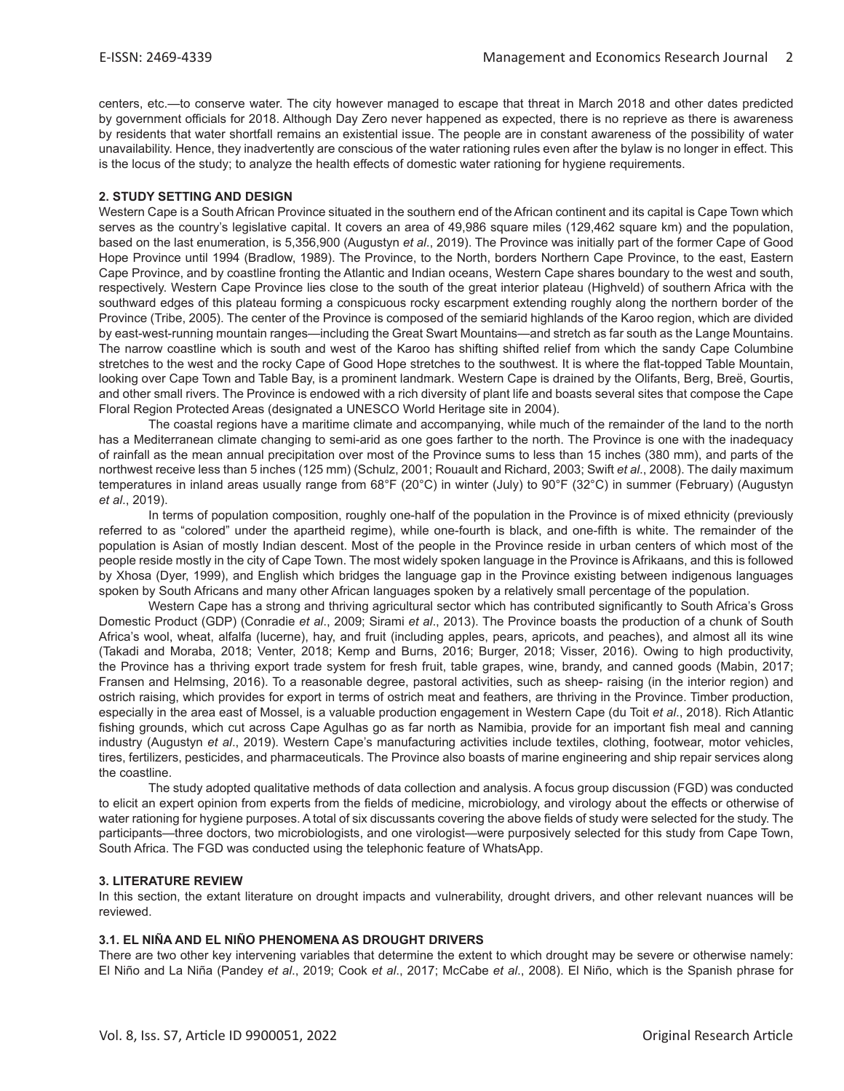centers, etc.—to conserve water. The city however managed to escape that threat in March 2018 and other dates predicted by government officials for 2018. Although Day Zero never happened as expected, there is no reprieve as there is awareness by residents that water shortfall remains an existential issue. The people are in constant awareness of the possibility of water unavailability. Hence, they inadvertently are conscious of the water rationing rules even after the bylaw is no longer in effect. This is the locus of the study; to analyze the health effects of domestic water rationing for hygiene requirements.

## **2. STUDY SETTING AND DESIGN**

Western Cape is a South African Province situated in the southern end of the African continent and its capital is Cape Town which serves as the country's legislative capital. It covers an area of 49,986 square miles (129,462 square km) and the population, based on the last enumeration, is 5,356,900 (Augustyn *et al*., 2019). The Province was initially part of the former Cape of Good Hope Province until 1994 (Bradlow, 1989). The Province, to the North, borders Northern Cape Province, to the east, Eastern Cape Province, and by coastline fronting the Atlantic and Indian oceans, Western Cape shares boundary to the west and south, respectively. Western Cape Province lies close to the south of the great interior plateau (Highveld) of southern Africa with the southward edges of this plateau forming a conspicuous rocky escarpment extending roughly along the northern border of the Province (Tribe, 2005). The center of the Province is composed of the semiarid highlands of the Karoo region, which are divided by east-west-running mountain ranges—including the Great Swart Mountains—and stretch as far south as the Lange Mountains. The narrow coastline which is south and west of the Karoo has shifting shifted relief from which the sandy Cape Columbine stretches to the west and the rocky Cape of Good Hope stretches to the southwest. It is where the flat-topped Table Mountain, looking over Cape Town and Table Bay, is a prominent landmark. Western Cape is drained by the Olifants, Berg, Breë, Gourtis, and other small rivers. The Province is endowed with a rich diversity of plant life and boasts several sites that compose the Cape Floral Region Protected Areas (designated a UNESCO World Heritage site in 2004).

The coastal regions have a maritime climate and accompanying, while much of the remainder of the land to the north has a Mediterranean climate changing to semi-arid as one goes farther to the north. The Province is one with the inadequacy of rainfall as the mean annual precipitation over most of the Province sums to less than 15 inches (380 mm), and parts of the northwest receive less than 5 inches (125 mm) (Schulz, 2001; Rouault and Richard, 2003; Swift *et al*., 2008). The daily maximum temperatures in inland areas usually range from 68°F (20°C) in winter (July) to 90°F (32°C) in summer (February) (Augustyn *et al*., 2019).

In terms of population composition, roughly one-half of the population in the Province is of mixed ethnicity (previously referred to as "colored" under the apartheid regime), while one-fourth is black, and one-fifth is white. The remainder of the population is Asian of mostly Indian descent. Most of the people in the Province reside in urban centers of which most of the people reside mostly in the city of Cape Town. The most widely spoken language in the Province is Afrikaans, and this is followed by Xhosa (Dyer, 1999), and English which bridges the language gap in the Province existing between indigenous languages spoken by South Africans and many other African languages spoken by a relatively small percentage of the population.

Western Cape has a strong and thriving agricultural sector which has contributed significantly to South Africa's Gross Domestic Product (GDP) (Conradie *et al*., 2009; Sirami *et al*., 2013). The Province boasts the production of a chunk of South Africa's wool, wheat, alfalfa (lucerne), hay, and fruit (including apples, pears, apricots, and peaches), and almost all its wine (Takadi and Moraba, 2018; Venter, 2018; Kemp and Burns, 2016; Burger, 2018; Visser, 2016). Owing to high productivity, the Province has a thriving export trade system for fresh fruit, table grapes, wine, brandy, and canned goods (Mabin, 2017; Fransen and Helmsing, 2016). To a reasonable degree, pastoral activities, such as sheep- raising (in the interior region) and ostrich raising, which provides for export in terms of ostrich meat and feathers, are thriving in the Province. Timber production, especially in the area east of Mossel, is a valuable production engagement in Western Cape (du Toit *et al*., 2018). Rich Atlantic fishing grounds, which cut across Cape Agulhas go as far north as Namibia, provide for an important fish meal and canning industry (Augustyn *et al*., 2019). Western Cape's manufacturing activities include textiles, clothing, footwear, motor vehicles, tires, fertilizers, pesticides, and pharmaceuticals. The Province also boasts of marine engineering and ship repair services along the coastline.

The study adopted qualitative methods of data collection and analysis. A focus group discussion (FGD) was conducted to elicit an expert opinion from experts from the fields of medicine, microbiology, and virology about the effects or otherwise of water rationing for hygiene purposes. A total of six discussants covering the above fields of study were selected for the study. The participants—three doctors, two microbiologists, and one virologist—were purposively selected for this study from Cape Town, South Africa. The FGD was conducted using the telephonic feature of WhatsApp.

#### **3. LITERATURE REVIEW**

In this section, the extant literature on drought impacts and vulnerability, drought drivers, and other relevant nuances will be reviewed.

#### **3.1. EL NIÑA AND EL NIÑO PHENOMENA AS DROUGHT DRIVERS**

There are two other key intervening variables that determine the extent to which drought may be severe or otherwise namely: El Niño and La Niña (Pandey *et al*., 2019; Cook *et al*., 2017; McCabe *et al*., 2008). El Niño, which is the Spanish phrase for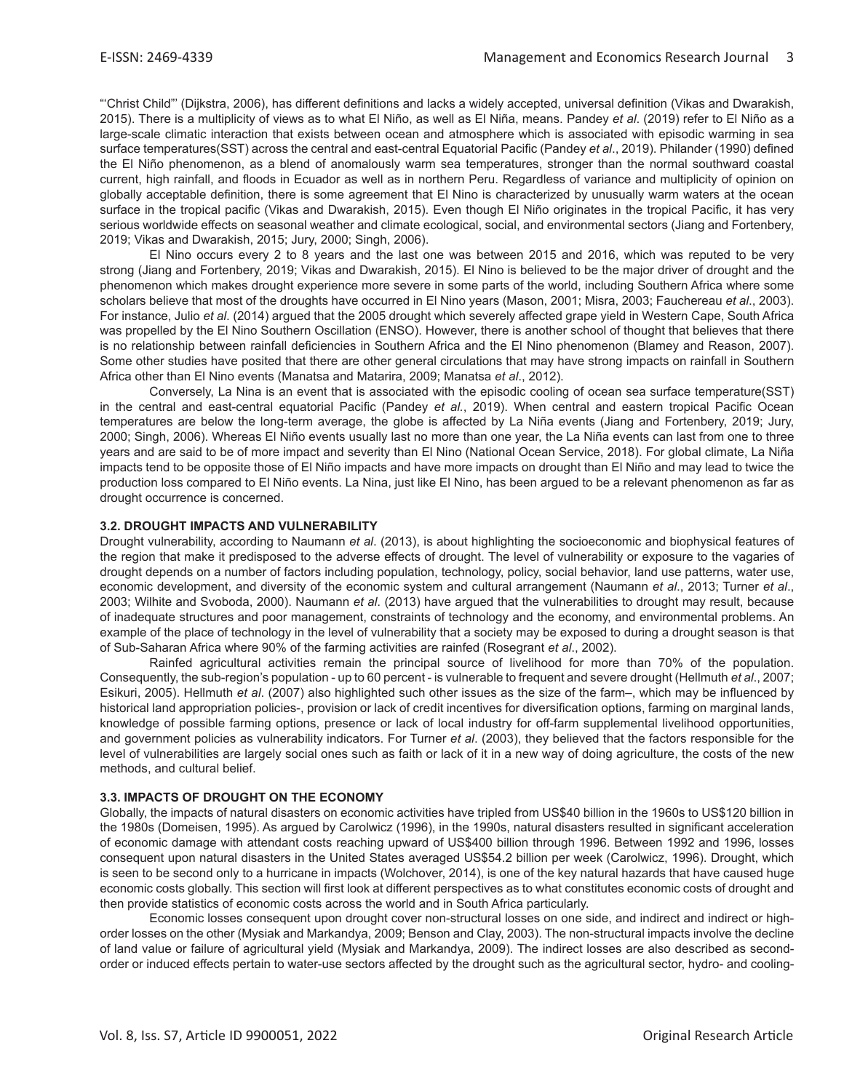"'Christ Child"' (Dijkstra, 2006), has different definitions and lacks a widely accepted, universal definition (Vikas and Dwarakish, 2015). There is a multiplicity of views as to what El Niño, as well as El Niña, means. Pandey *et al*. (2019) refer to El Niño as a large-scale climatic interaction that exists between ocean and atmosphere which is associated with episodic warming in sea surface temperatures(SST) across the central and east-central Equatorial Pacific (Pandey *et al*., 2019). Philander (1990) defined the El Niño phenomenon, as a blend of anomalously warm sea temperatures, stronger than the normal southward coastal current, high rainfall, and floods in Ecuador as well as in northern Peru. Regardless of variance and multiplicity of opinion on globally acceptable definition, there is some agreement that El Nino is characterized by unusually warm waters at the ocean surface in the tropical pacific (Vikas and Dwarakish, 2015). Even though El Niño originates in the tropical Pacific, it has very serious worldwide effects on seasonal weather and climate ecological, social, and environmental sectors (Jiang and Fortenbery, 2019; Vikas and Dwarakish, 2015; Jury, 2000; Singh, 2006).

El Nino occurs every 2 to 8 years and the last one was between 2015 and 2016, which was reputed to be very strong (Jiang and Fortenbery, 2019; Vikas and Dwarakish, 2015). El Nino is believed to be the major driver of drought and the phenomenon which makes drought experience more severe in some parts of the world, including Southern Africa where some scholars believe that most of the droughts have occurred in El Nino years (Mason, 2001; Misra, 2003; Fauchereau *et al*., 2003). For instance, Julio *et al*. (2014) argued that the 2005 drought which severely affected grape yield in Western Cape, South Africa was propelled by the El Nino Southern Oscillation (ENSO). However, there is another school of thought that believes that there is no relationship between rainfall deficiencies in Southern Africa and the El Nino phenomenon (Blamey and Reason, 2007). Some other studies have posited that there are other general circulations that may have strong impacts on rainfall in Southern Africa other than El Nino events (Manatsa and Matarira, 2009; Manatsa *et al*., 2012).

Conversely, La Nina is an event that is associated with the episodic cooling of ocean sea surface temperature(SST) in the central and east-central equatorial Pacific (Pandey *et al.*, 2019). When central and eastern tropical Pacific Ocean temperatures are below the long-term average, the globe is affected by La Niña events (Jiang and Fortenbery, 2019; Jury, 2000; Singh, 2006). Whereas El Niño events usually last no more than one year, the La Niña events can last from one to three years and are said to be of more impact and severity than El Nino (National Ocean Service, 2018). For global climate, La Niña impacts tend to be opposite those of El Niño impacts and have more impacts on drought than El Niño and may lead to twice the production loss compared to El Niño events. La Nina, just like El Nino, has been argued to be a relevant phenomenon as far as drought occurrence is concerned.

## **3.2. DROUGHT IMPACTS AND VULNERABILITY**

Drought vulnerability, according to Naumann *et al*. (2013), is about highlighting the socioeconomic and biophysical features of the region that make it predisposed to the adverse effects of drought. The level of vulnerability or exposure to the vagaries of drought depends on a number of factors including population, technology, policy, social behavior, land use patterns, water use, economic development, and diversity of the economic system and cultural arrangement (Naumann *et al*., 2013; Turner *et al*., 2003; Wilhite and Svoboda, 2000). Naumann *et al*. (2013) have argued that the vulnerabilities to drought may result, because of inadequate structures and poor management, constraints of technology and the economy, and environmental problems. An example of the place of technology in the level of vulnerability that a society may be exposed to during a drought season is that of Sub-Saharan Africa where 90% of the farming activities are rainfed (Rosegrant *et al*., 2002).

Rainfed agricultural activities remain the principal source of livelihood for more than 70% of the population. Consequently, the sub-region's population - up to 60 percent - is vulnerable to frequent and severe drought (Hellmuth *et al*., 2007; Esikuri, 2005). Hellmuth *et al*. (2007) also highlighted such other issues as the size of the farm–, which may be influenced by historical land appropriation policies-, provision or lack of credit incentives for diversification options, farming on marginal lands, knowledge of possible farming options, presence or lack of local industry for off-farm supplemental livelihood opportunities, and government policies as vulnerability indicators. For Turner *et al*. (2003), they believed that the factors responsible for the level of vulnerabilities are largely social ones such as faith or lack of it in a new way of doing agriculture, the costs of the new methods, and cultural belief.

#### **3.3. IMPACTS OF DROUGHT ON THE ECONOMY**

Globally, the impacts of natural disasters on economic activities have tripled from US\$40 billion in the 1960s to US\$120 billion in the 1980s (Domeisen, 1995). As argued by Carolwicz (1996), in the 1990s, natural disasters resulted in significant acceleration of economic damage with attendant costs reaching upward of US\$400 billion through 1996. Between 1992 and 1996, losses consequent upon natural disasters in the United States averaged US\$54.2 billion per week (Carolwicz, 1996). Drought, which is seen to be second only to a hurricane in impacts (Wolchover, 2014), is one of the key natural hazards that have caused huge economic costs globally. This section will first look at different perspectives as to what constitutes economic costs of drought and then provide statistics of economic costs across the world and in South Africa particularly.

Economic losses consequent upon drought cover non-structural losses on one side, and indirect and indirect or highorder losses on the other (Mysiak and Markandya, 2009; Benson and Clay, 2003). The non-structural impacts involve the decline of land value or failure of agricultural yield (Mysiak and Markandya, 2009). The indirect losses are also described as secondorder or induced effects pertain to water-use sectors affected by the drought such as the agricultural sector, hydro- and cooling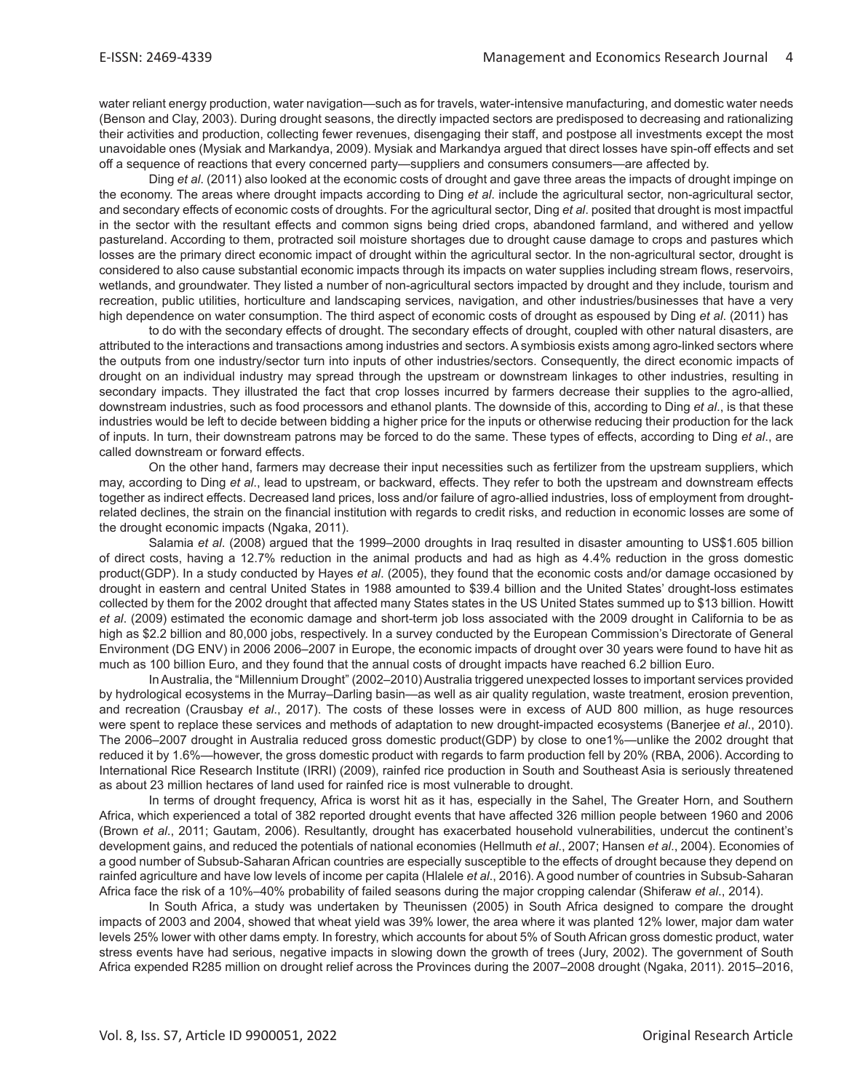water reliant energy production, water navigation—such as for travels, water-intensive manufacturing, and domestic water needs (Benson and Clay, 2003). During drought seasons, the directly impacted sectors are predisposed to decreasing and rationalizing their activities and production, collecting fewer revenues, disengaging their staff, and postpose all investments except the most unavoidable ones (Mysiak and Markandya, 2009). Mysiak and Markandya argued that direct losses have spin-off effects and set off a sequence of reactions that every concerned party—suppliers and consumers consumers—are affected by.

Ding *et al*. (2011) also looked at the economic costs of drought and gave three areas the impacts of drought impinge on the economy. The areas where drought impacts according to Ding *et al*. include the agricultural sector, non-agricultural sector, and secondary effects of economic costs of droughts. For the agricultural sector, Ding *et al*. posited that drought is most impactful in the sector with the resultant effects and common signs being dried crops, abandoned farmland, and withered and yellow pastureland. According to them, protracted soil moisture shortages due to drought cause damage to crops and pastures which losses are the primary direct economic impact of drought within the agricultural sector. In the non-agricultural sector, drought is considered to also cause substantial economic impacts through its impacts on water supplies including stream flows, reservoirs, wetlands, and groundwater. They listed a number of non-agricultural sectors impacted by drought and they include, tourism and recreation, public utilities, horticulture and landscaping services, navigation, and other industries/businesses that have a very high dependence on water consumption. The third aspect of economic costs of drought as espoused by Ding *et al*. (2011) has

to do with the secondary effects of drought. The secondary effects of drought, coupled with other natural disasters, are attributed to the interactions and transactions among industries and sectors. A symbiosis exists among agro-linked sectors where the outputs from one industry/sector turn into inputs of other industries/sectors. Consequently, the direct economic impacts of drought on an individual industry may spread through the upstream or downstream linkages to other industries, resulting in secondary impacts. They illustrated the fact that crop losses incurred by farmers decrease their supplies to the agro-allied, downstream industries, such as food processors and ethanol plants. The downside of this, according to Ding *et al*., is that these industries would be left to decide between bidding a higher price for the inputs or otherwise reducing their production for the lack of inputs. In turn, their downstream patrons may be forced to do the same. These types of effects, according to Ding *et al*., are called downstream or forward effects.

On the other hand, farmers may decrease their input necessities such as fertilizer from the upstream suppliers, which may, according to Ding *et al*., lead to upstream, or backward, effects. They refer to both the upstream and downstream effects together as indirect effects. Decreased land prices, loss and/or failure of agro-allied industries, loss of employment from droughtrelated declines, the strain on the financial institution with regards to credit risks, and reduction in economic losses are some of the drought economic impacts (Ngaka, 2011).

Salamia *et al*. (2008) argued that the 1999–2000 droughts in Iraq resulted in disaster amounting to US\$1.605 billion of direct costs, having a 12.7% reduction in the animal products and had as high as 4.4% reduction in the gross domestic product(GDP). In a study conducted by Hayes *et al*. (2005), they found that the economic costs and/or damage occasioned by drought in eastern and central United States in 1988 amounted to \$39.4 billion and the United States' drought-loss estimates collected by them for the 2002 drought that affected many States states in the US United States summed up to \$13 billion. Howitt *et al*. (2009) estimated the economic damage and short-term job loss associated with the 2009 drought in California to be as high as \$2.2 billion and 80,000 jobs, respectively. In a survey conducted by the European Commission's Directorate of General Environment (DG ENV) in 2006 2006–2007 in Europe, the economic impacts of drought over 30 years were found to have hit as much as 100 billion Euro, and they found that the annual costs of drought impacts have reached 6.2 billion Euro.

In Australia, the "Millennium Drought" (2002–2010) Australia triggered unexpected losses to important services provided by hydrological ecosystems in the Murray–Darling basin—as well as air quality regulation, waste treatment, erosion prevention, and recreation (Crausbay *et al*., 2017). The costs of these losses were in excess of AUD 800 million, as huge resources were spent to replace these services and methods of adaptation to new drought-impacted ecosystems (Banerjee *et al*., 2010). The 2006–2007 drought in Australia reduced gross domestic product(GDP) by close to one1%—unlike the 2002 drought that reduced it by 1.6%—however, the gross domestic product with regards to farm production fell by 20% (RBA, 2006). According to International Rice Research Institute (IRRI) (2009), rainfed rice production in South and Southeast Asia is seriously threatened as about 23 million hectares of land used for rainfed rice is most vulnerable to drought.

In terms of drought frequency, Africa is worst hit as it has, especially in the Sahel, The Greater Horn, and Southern Africa, which experienced a total of 382 reported drought events that have affected 326 million people between 1960 and 2006 (Brown *et al*., 2011; Gautam, 2006). Resultantly, drought has exacerbated household vulnerabilities, undercut the continent's development gains, and reduced the potentials of national economies (Hellmuth *et al*., 2007; Hansen *et al*., 2004). Economies of a good number of Subsub-Saharan African countries are especially susceptible to the effects of drought because they depend on rainfed agriculture and have low levels of income per capita (Hlalele *et al*., 2016). A good number of countries in Subsub-Saharan Africa face the risk of a 10%–40% probability of failed seasons during the major cropping calendar (Shiferaw *et al*., 2014).

In South Africa, a study was undertaken by Theunissen (2005) in South Africa designed to compare the drought impacts of 2003 and 2004, showed that wheat yield was 39% lower, the area where it was planted 12% lower, major dam water levels 25% lower with other dams empty. In forestry, which accounts for about 5% of South African gross domestic product, water stress events have had serious, negative impacts in slowing down the growth of trees (Jury, 2002). The government of South Africa expended R285 million on drought relief across the Provinces during the 2007–2008 drought (Ngaka, 2011). 2015–2016,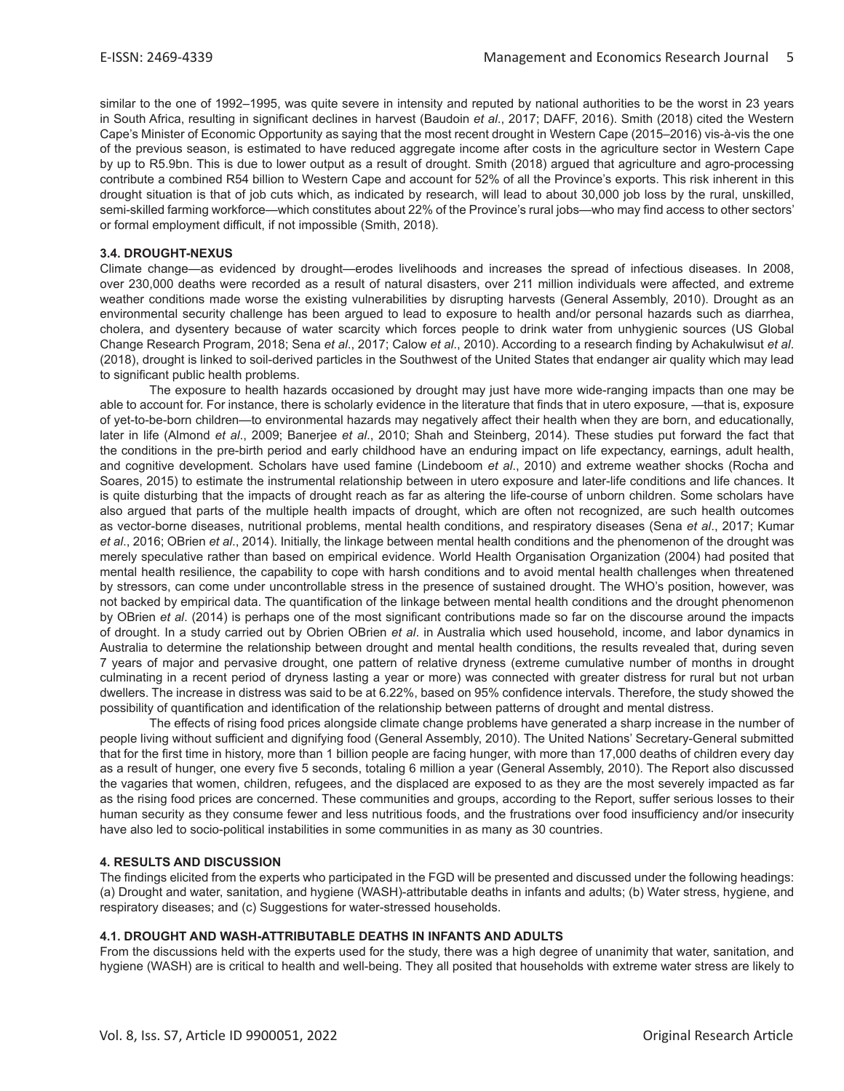similar to the one of 1992–1995, was quite severe in intensity and reputed by national authorities to be the worst in 23 years in South Africa, resulting in significant declines in harvest (Baudoin *et al*., 2017; DAFF, 2016). Smith (2018) cited the Western Cape's Minister of Economic Opportunity as saying that the most recent drought in Western Cape (2015–2016) vis-à-vis the one of the previous season, is estimated to have reduced aggregate income after costs in the agriculture sector in Western Cape by up to R5.9bn. This is due to lower output as a result of drought. Smith (2018) argued that agriculture and agro-processing contribute a combined R54 billion to Western Cape and account for 52% of all the Province's exports. This risk inherent in this drought situation is that of job cuts which, as indicated by research, will lead to about 30,000 job loss by the rural, unskilled, semi-skilled farming workforce—which constitutes about 22% of the Province's rural jobs—who may find access to other sectors' or formal employment difficult, if not impossible (Smith, 2018).

## **3.4. DROUGHT-NEXUS**

Climate change—as evidenced by drought—erodes livelihoods and increases the spread of infectious diseases. In 2008, over 230,000 deaths were recorded as a result of natural disasters, over 211 million individuals were affected, and extreme weather conditions made worse the existing vulnerabilities by disrupting harvests (General Assembly, 2010). Drought as an environmental security challenge has been argued to lead to exposure to health and/or personal hazards such as diarrhea, cholera, and dysentery because of water scarcity which forces people to drink water from unhygienic sources (US Global Change Research Program, 2018; Sena *et al*., 2017; Calow *et al*., 2010). According to a research finding by Achakulwisut *et al*. (2018), drought is linked to soil-derived particles in the Southwest of the United States that endanger air quality which may lead to significant public health problems.

The exposure to health hazards occasioned by drought may just have more wide-ranging impacts than one may be able to account for. For instance, there is scholarly evidence in the literature that finds that in utero exposure, —that is, exposure of yet-to-be-born children—to environmental hazards may negatively affect their health when they are born, and educationally, later in life (Almond *et al*., 2009; Banerjee *et al*., 2010; Shah and Steinberg, 2014). These studies put forward the fact that the conditions in the pre-birth period and early childhood have an enduring impact on life expectancy, earnings, adult health, and cognitive development. Scholars have used famine (Lindeboom *et al*., 2010) and extreme weather shocks (Rocha and Soares, 2015) to estimate the instrumental relationship between in utero exposure and later-life conditions and life chances. It is quite disturbing that the impacts of drought reach as far as altering the life-course of unborn children. Some scholars have also argued that parts of the multiple health impacts of drought, which are often not recognized, are such health outcomes as vector-borne diseases, nutritional problems, mental health conditions, and respiratory diseases (Sena *et al*., 2017; Kumar *et al*., 2016; OBrien *et al*., 2014). Initially, the linkage between mental health conditions and the phenomenon of the drought was merely speculative rather than based on empirical evidence. World Health Organisation Organization (2004) had posited that mental health resilience, the capability to cope with harsh conditions and to avoid mental health challenges when threatened by stressors, can come under uncontrollable stress in the presence of sustained drought. The WHO's position, however, was not backed by empirical data. The quantification of the linkage between mental health conditions and the drought phenomenon by OBrien *et al*. (2014) is perhaps one of the most significant contributions made so far on the discourse around the impacts of drought. In a study carried out by Obrien OBrien *et al*. in Australia which used household, income, and labor dynamics in Australia to determine the relationship between drought and mental health conditions, the results revealed that, during seven 7 years of major and pervasive drought, one pattern of relative dryness (extreme cumulative number of months in drought culminating in a recent period of dryness lasting a year or more) was connected with greater distress for rural but not urban dwellers. The increase in distress was said to be at 6.22%, based on 95% confidence intervals. Therefore, the study showed the possibility of quantification and identification of the relationship between patterns of drought and mental distress.

The effects of rising food prices alongside climate change problems have generated a sharp increase in the number of people living without sufficient and dignifying food (General Assembly, 2010). The United Nations' Secretary-General submitted that for the first time in history, more than 1 billion people are facing hunger, with more than 17,000 deaths of children every day as a result of hunger, one every five 5 seconds, totaling 6 million a year (General Assembly, 2010). The Report also discussed the vagaries that women, children, refugees, and the displaced are exposed to as they are the most severely impacted as far as the rising food prices are concerned. These communities and groups, according to the Report, suffer serious losses to their human security as they consume fewer and less nutritious foods, and the frustrations over food insufficiency and/or insecurity have also led to socio-political instabilities in some communities in as many as 30 countries.

#### **4. RESULTS AND DISCUSSION**

The findings elicited from the experts who participated in the FGD will be presented and discussed under the following headings: (a) Drought and water, sanitation, and hygiene (WASH)-attributable deaths in infants and adults; (b) Water stress, hygiene, and respiratory diseases; and (c) Suggestions for water-stressed households.

#### **4.1. DROUGHT AND WASH-ATTRIBUTABLE DEATHS IN INFANTS AND ADULTS**

From the discussions held with the experts used for the study, there was a high degree of unanimity that water, sanitation, and hygiene (WASH) are is critical to health and well-being. They all posited that households with extreme water stress are likely to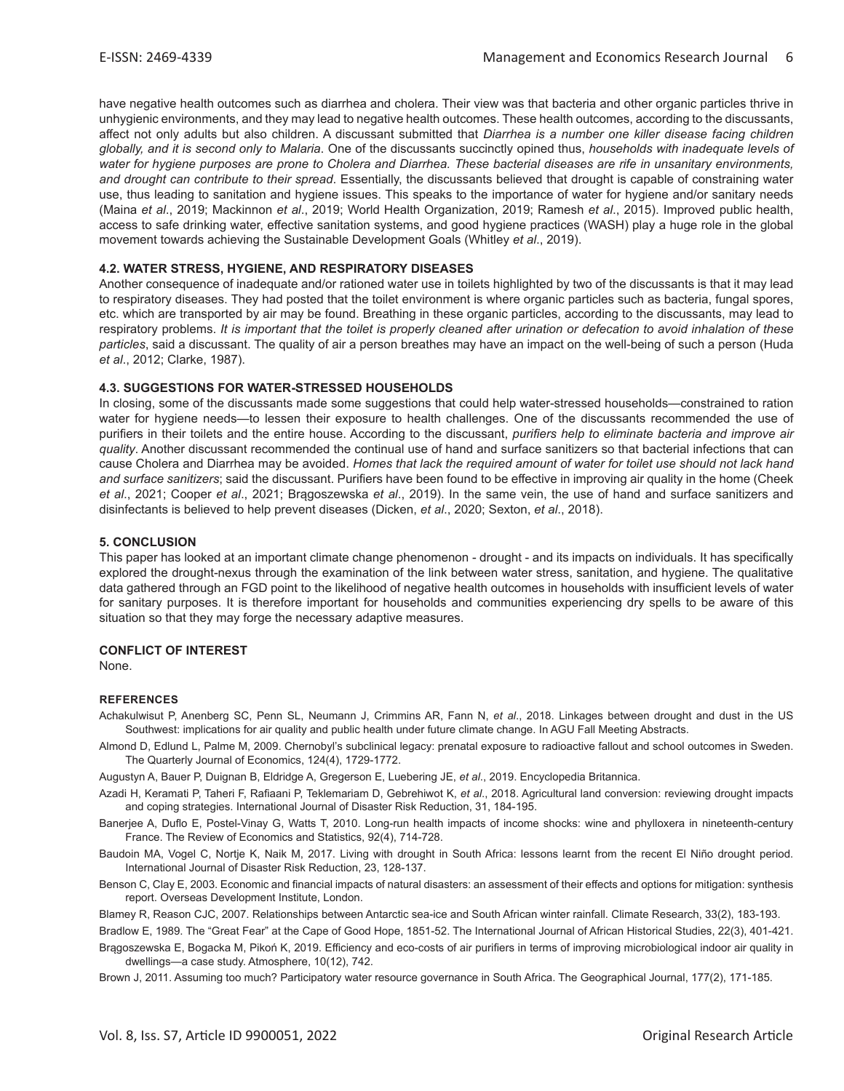have negative health outcomes such as diarrhea and cholera. Their view was that bacteria and other organic particles thrive in unhygienic environments, and they may lead to negative health outcomes. These health outcomes, according to the discussants, affect not only adults but also children. A discussant submitted that *Diarrhea is a number one killer disease facing children globally, and it is second only to Malaria*. One of the discussants succinctly opined thus, *households with inadequate levels of water for hygiene purposes are prone to Cholera and Diarrhea. These bacterial diseases are rife in unsanitary environments, and drought can contribute to their spread*. Essentially, the discussants believed that drought is capable of constraining water use, thus leading to sanitation and hygiene issues. This speaks to the importance of water for hygiene and/or sanitary needs (Maina *et al*., 2019; Mackinnon *et al*., 2019; World Health Organization, 2019; Ramesh *et al*., 2015). Improved public health, access to safe drinking water, effective sanitation systems, and good hygiene practices (WASH) play a huge role in the global movement towards achieving the Sustainable Development Goals (Whitley *et al*., 2019).

## **4.2. WATER STRESS, HYGIENE, AND RESPIRATORY DISEASES**

Another consequence of inadequate and/or rationed water use in toilets highlighted by two of the discussants is that it may lead to respiratory diseases. They had posted that the toilet environment is where organic particles such as bacteria, fungal spores, etc. which are transported by air may be found. Breathing in these organic particles, according to the discussants, may lead to respiratory problems. *It is important that the toilet is properly cleaned after urination or defecation to avoid inhalation of these particles*, said a discussant. The quality of air a person breathes may have an impact on the well-being of such a person (Huda *et al*., 2012; Clarke, 1987).

#### **4.3. SUGGESTIONS FOR WATER-STRESSED HOUSEHOLDS**

In closing, some of the discussants made some suggestions that could help water-stressed households—constrained to ration water for hygiene needs—to lessen their exposure to health challenges. One of the discussants recommended the use of purifiers in their toilets and the entire house. According to the discussant, *purifiers help to eliminate bacteria and improve air quality*. Another discussant recommended the continual use of hand and surface sanitizers so that bacterial infections that can cause Cholera and Diarrhea may be avoided. *Homes that lack the required amount of water for toilet use should not lack hand and surface sanitizers*; said the discussant. Purifiers have been found to be effective in improving air quality in the home (Cheek *et al*., 2021; Cooper *et al*., 2021; Brągoszewska *et al*., 2019). In the same vein, the use of hand and surface sanitizers and disinfectants is believed to help prevent diseases (Dicken, *et al*., 2020; Sexton, *et al*., 2018).

## **5. CONCLUSION**

This paper has looked at an important climate change phenomenon - drought - and its impacts on individuals. It has specifically explored the drought-nexus through the examination of the link between water stress, sanitation, and hygiene. The qualitative data gathered through an FGD point to the likelihood of negative health outcomes in households with insufficient levels of water for sanitary purposes. It is therefore important for households and communities experiencing dry spells to be aware of this situation so that they may forge the necessary adaptive measures.

#### **CONFLICT OF INTEREST**

None.

#### **REFERENCES**

- Achakulwisut P, Anenberg SC, Penn SL, Neumann J, Crimmins AR, Fann N, *et al*., 2018. Linkages between drought and dust in the US Southwest: implications for air quality and public health under future climate change. In AGU Fall Meeting Abstracts.
- Almond D, Edlund L, Palme M, 2009. Chernobyl's subclinical legacy: prenatal exposure to radioactive fallout and school outcomes in Sweden. The Quarterly Journal of Economics, 124(4), 1729-1772.

Augustyn A, Bauer P, Duignan B, Eldridge A, Gregerson E, Luebering JE, *et al*., 2019. Encyclopedia Britannica.

- Azadi H, Keramati P, Taheri F, Rafiaani P, Teklemariam D, Gebrehiwot K, *et al*., 2018. Agricultural land conversion: reviewing drought impacts and coping strategies. International Journal of Disaster Risk Reduction, 31, 184-195.
- Banerjee A, Duflo E, Postel-Vinay G, Watts T, 2010. Long-run health impacts of income shocks: wine and phylloxera in nineteenth-century France. The Review of Economics and Statistics, 92(4), 714-728.
- Baudoin MA, Vogel C, Nortje K, Naik M, 2017. Living with drought in South Africa: lessons learnt from the recent El Niño drought period. International Journal of Disaster Risk Reduction, 23, 128-137.
- Benson C, Clay E, 2003. Economic and financial impacts of natural disasters: an assessment of their effects and options for mitigation: synthesis report. Overseas Development Institute, London.

Blamey R, Reason CJC, 2007. Relationships between Antarctic sea-ice and South African winter rainfall. Climate Research, 33(2), 183-193.

Bradlow E, 1989. The "Great Fear" at the Cape of Good Hope, 1851-52. The International Journal of African Historical Studies, 22(3), 401-421.

Brągoszewska E, Bogacka M, Pikoń K, 2019. Efficiency and eco-costs of air purifiers in terms of improving microbiological indoor air quality in dwellings—a case study. Atmosphere, 10(12), 742.

Brown J, 2011. Assuming too much? Participatory water resource governance in South Africa. The Geographical Journal, 177(2), 171-185.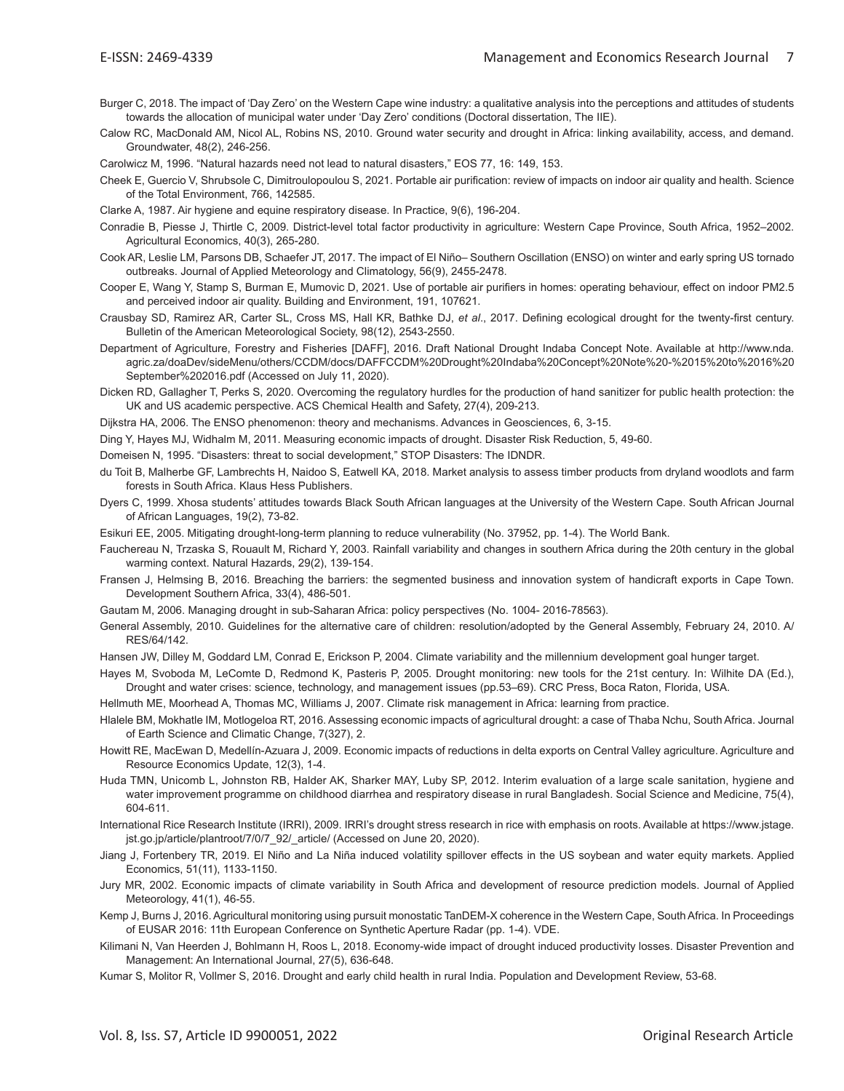- Burger C, 2018. The impact of 'Day Zero' on the Western Cape wine industry: a qualitative analysis into the perceptions and attitudes of students towards the allocation of municipal water under 'Day Zero' conditions (Doctoral dissertation, The IIE).
- Calow RC, MacDonald AM, Nicol AL, Robins NS, 2010. Ground water security and drought in Africa: linking availability, access, and demand. Groundwater, 48(2), 246-256.

Carolwicz M, 1996. "Natural hazards need not lead to natural disasters," EOS 77, 16: 149, 153.

- Cheek E, Guercio V, Shrubsole C, Dimitroulopoulou S, 2021. Portable air purification: review of impacts on indoor air quality and health. Science of the Total Environment, 766, 142585.
- Clarke A, 1987. Air hygiene and equine respiratory disease. In Practice, 9(6), 196-204.
- Conradie B, Piesse J, Thirtle C, 2009. District-level total factor productivity in agriculture: Western Cape Province, South Africa, 1952–2002. Agricultural Economics, 40(3), 265-280.
- Cook AR, Leslie LM, Parsons DB, Schaefer JT, 2017. The impact of El Niño– Southern Oscillation (ENSO) on winter and early spring US tornado outbreaks. Journal of Applied Meteorology and Climatology, 56(9), 2455-2478.
- Cooper E, Wang Y, Stamp S, Burman E, Mumovic D, 2021. Use of portable air purifiers in homes: operating behaviour, effect on indoor PM2.5 and perceived indoor air quality. Building and Environment, 191, 107621.
- Crausbay SD, Ramirez AR, Carter SL, Cross MS, Hall KR, Bathke DJ, *et al*., 2017. Defining ecological drought for the twenty-first century. Bulletin of the American Meteorological Society, 98(12), 2543-2550.
- Department of Agriculture, Forestry and Fisheries [DAFF], 2016. Draft National Drought Indaba Concept Note. Available at http://www.nda. agric.za/doaDev/sideMenu/others/CCDM/docs/DAFFCCDM%20Drought%20Indaba%20Concept%20Note%20-%2015%20to%2016%20 September%202016.pdf (Accessed on July 11, 2020).
- Dicken RD, Gallagher T, Perks S, 2020. Overcoming the regulatory hurdles for the production of hand sanitizer for public health protection: the UK and US academic perspective. ACS Chemical Health and Safety, 27(4), 209-213.

Dijkstra HA, 2006. The ENSO phenomenon: theory and mechanisms. Advances in Geosciences, 6, 3-15.

- Ding Y, Hayes MJ, Widhalm M, 2011. Measuring economic impacts of drought. Disaster Risk Reduction, 5, 49-60.
- Domeisen N, 1995. "Disasters: threat to social development," STOP Disasters: The IDNDR.
- du Toit B, Malherbe GF, Lambrechts H, Naidoo S, Eatwell KA, 2018. Market analysis to assess timber products from dryland woodlots and farm forests in South Africa. Klaus Hess Publishers.
- Dyers C, 1999. Xhosa students' attitudes towards Black South African languages at the University of the Western Cape. South African Journal of African Languages, 19(2), 73-82.
- Esikuri EE, 2005. Mitigating drought-long-term planning to reduce vulnerability (No. 37952, pp. 1-4). The World Bank.
- Fauchereau N, Trzaska S, Rouault M, Richard Y, 2003. Rainfall variability and changes in southern Africa during the 20th century in the global warming context. Natural Hazards, 29(2), 139-154.
- Fransen J, Helmsing B, 2016. Breaching the barriers: the segmented business and innovation system of handicraft exports in Cape Town. Development Southern Africa, 33(4), 486-501.
- Gautam M, 2006. Managing drought in sub-Saharan Africa: policy perspectives (No. 1004- 2016-78563).
- General Assembly, 2010. Guidelines for the alternative care of children: resolution/adopted by the General Assembly, February 24, 2010. A/ RES/64/142.
- Hansen JW, Dilley M, Goddard LM, Conrad E, Erickson P, 2004. Climate variability and the millennium development goal hunger target.
- Hayes M, Svoboda M, LeComte D, Redmond K, Pasteris P, 2005. Drought monitoring: new tools for the 21st century. In: Wilhite DA (Ed.), Drought and water crises: science, technology, and management issues (pp.53–69). CRC Press, Boca Raton, Florida, USA.
- Hellmuth ME, Moorhead A, Thomas MC, Williams J, 2007. Climate risk management in Africa: learning from practice.
- Hlalele BM, Mokhatle IM, Motlogeloa RT, 2016. Assessing economic impacts of agricultural drought: a case of Thaba Nchu, South Africa. Journal of Earth Science and Climatic Change, 7(327), 2.
- Howitt RE, MacEwan D, Medellín-Azuara J, 2009. Economic impacts of reductions in delta exports on Central Valley agriculture. Agriculture and Resource Economics Update, 12(3), 1-4.
- Huda TMN, Unicomb L, Johnston RB, Halder AK, Sharker MAY, Luby SP, 2012. Interim evaluation of a large scale sanitation, hygiene and water improvement programme on childhood diarrhea and respiratory disease in rural Bangladesh. Social Science and Medicine, 75(4), 604-611.
- International Rice Research Institute (IRRI), 2009. IRRI's drought stress research in rice with emphasis on roots. Available at https://www.jstage. jst.go.jp/article/plantroot/7/0/7\_92/\_article/ (Accessed on June 20, 2020).
- Jiang J, Fortenbery TR, 2019. El Niño and La Niña induced volatility spillover effects in the US soybean and water equity markets. Applied Economics, 51(11), 1133-1150.
- Jury MR, 2002. Economic impacts of climate variability in South Africa and development of resource prediction models. Journal of Applied Meteorology, 41(1), 46-55.
- Kemp J, Burns J, 2016. Agricultural monitoring using pursuit monostatic TanDEM-X coherence in the Western Cape, South Africa. In Proceedings of EUSAR 2016: 11th European Conference on Synthetic Aperture Radar (pp. 1-4). VDE.
- Kilimani N, Van Heerden J, Bohlmann H, Roos L, 2018. Economy-wide impact of drought induced productivity losses. Disaster Prevention and Management: An International Journal, 27(5), 636-648.
- Kumar S, Molitor R, Vollmer S, 2016. Drought and early child health in rural India. Population and Development Review, 53-68.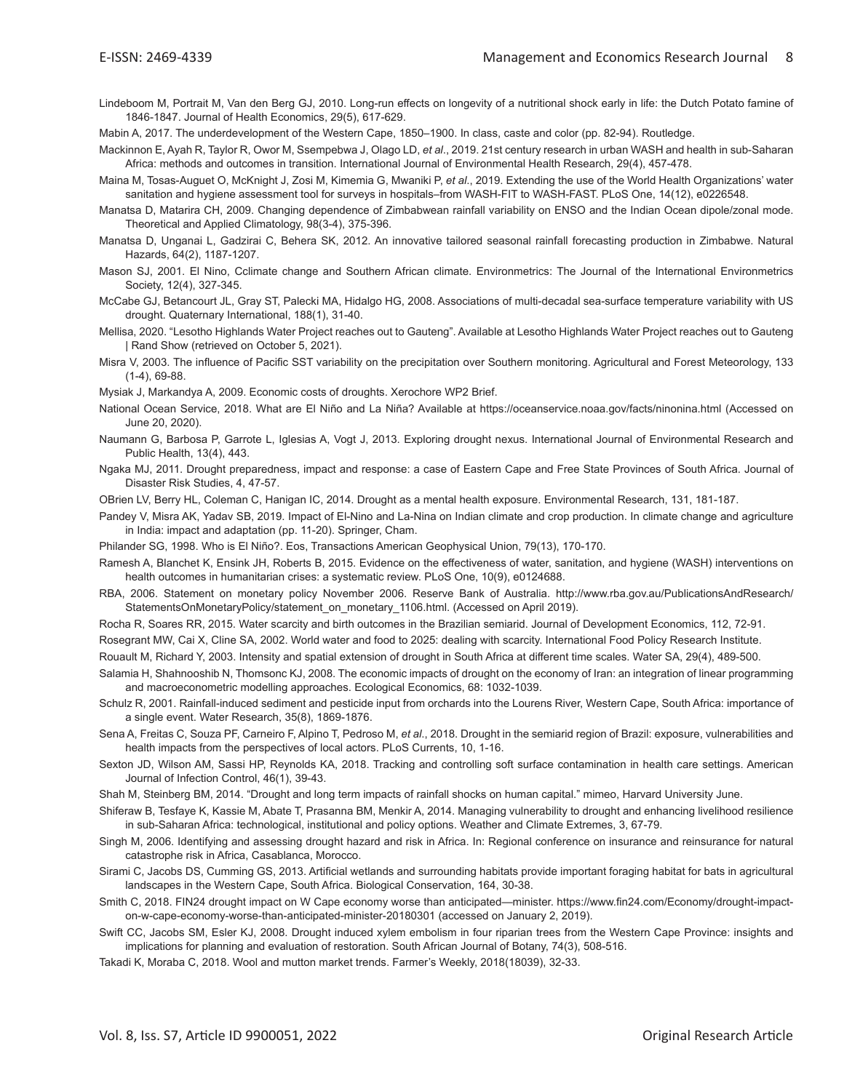Lindeboom M, Portrait M, Van den Berg GJ, 2010. Long-run effects on longevity of a nutritional shock early in life: the Dutch Potato famine of 1846-1847. Journal of Health Economics, 29(5), 617-629.

Mabin A, 2017. The underdevelopment of the Western Cape, 1850–1900. In class, caste and color (pp. 82-94). Routledge.

- Mackinnon E, Ayah R, Taylor R, Owor M, Ssempebwa J, Olago LD, *et al*., 2019. 21st century research in urban WASH and health in sub-Saharan Africa: methods and outcomes in transition. International Journal of Environmental Health Research, 29(4), 457-478.
- Maina M, Tosas-Auguet O, McKnight J, Zosi M, Kimemia G, Mwaniki P, *et al*., 2019. Extending the use of the World Health Organizations' water sanitation and hygiene assessment tool for surveys in hospitals–from WASH-FIT to WASH-FAST. PLoS One, 14(12), e0226548.
- Manatsa D, Matarira CH, 2009. Changing dependence of Zimbabwean rainfall variability on ENSO and the Indian Ocean dipole/zonal mode. Theoretical and Applied Climatology, 98(3-4), 375-396.
- Manatsa D, Unganai L, Gadzirai C, Behera SK, 2012. An innovative tailored seasonal rainfall forecasting production in Zimbabwe. Natural Hazards, 64(2), 1187-1207.
- Mason SJ, 2001. El Nino, Cclimate change and Southern African climate. Environmetrics: The Journal of the International Environmetrics Society, 12(4), 327-345.
- McCabe GJ, Betancourt JL, Gray ST, Palecki MA, Hidalgo HG, 2008. Associations of multi-decadal sea-surface temperature variability with US drought. Quaternary International, 188(1), 31-40.
- Mellisa, 2020. "Lesotho Highlands Water Project reaches out to Gauteng". Available at Lesotho Highlands Water Project reaches out to Gauteng | Rand Show (retrieved on October 5, 2021).
- Misra V, 2003. The influence of Pacific SST variability on the precipitation over Southern monitoring. Agricultural and Forest Meteorology, 133 (1-4), 69-88.
- Mysiak J, Markandya A, 2009. Economic costs of droughts. Xerochore WP2 Brief.
- National Ocean Service, 2018. What are El Niño and La Niña? Available at https://oceanservice.noaa.gov/facts/ninonina.html (Accessed on June 20, 2020).
- Naumann G, Barbosa P, Garrote L, Iglesias A, Vogt J, 2013. Exploring drought nexus. International Journal of Environmental Research and Public Health, 13(4), 443.
- Ngaka MJ, 2011. Drought preparedness, impact and response: a case of Eastern Cape and Free State Provinces of South Africa. Journal of Disaster Risk Studies, 4, 47-57.
- OBrien LV, Berry HL, Coleman C, Hanigan IC, 2014. Drought as a mental health exposure. Environmental Research, 131, 181-187.
- Pandey V, Misra AK, Yadav SB, 2019. Impact of El-Nino and La-Nina on Indian climate and crop production. In climate change and agriculture in India: impact and adaptation (pp. 11-20). Springer, Cham.
- Philander SG, 1998. Who is El Niño?. Eos, Transactions American Geophysical Union, 79(13), 170-170.
- Ramesh A, Blanchet K, Ensink JH, Roberts B, 2015. Evidence on the effectiveness of water, sanitation, and hygiene (WASH) interventions on health outcomes in humanitarian crises: a systematic review. PLoS One, 10(9), e0124688.
- RBA, 2006. Statement on monetary policy November 2006. Reserve Bank of Australia. http://www.rba.gov.au/PublicationsAndResearch/ StatementsOnMonetaryPolicy/statement\_on\_monetary\_1106.html. (Accessed on April 2019).
- Rocha R, Soares RR, 2015. Water scarcity and birth outcomes in the Brazilian semiarid. Journal of Development Economics, 112, 72-91.
- Rosegrant MW, Cai X, Cline SA, 2002. World water and food to 2025: dealing with scarcity. International Food Policy Research Institute.
- Rouault M, Richard Y, 2003. Intensity and spatial extension of drought in South Africa at different time scales. Water SA, 29(4), 489-500.
- Salamia H, Shahnooshib N, Thomsonc KJ, 2008. The economic impacts of drought on the economy of Iran: an integration of linear programming and macroeconometric modelling approaches. Ecological Economics, 68: 1032-1039.
- Schulz R, 2001. Rainfall-induced sediment and pesticide input from orchards into the Lourens River, Western Cape, South Africa: importance of a single event. Water Research, 35(8), 1869-1876.
- Sena A, Freitas C, Souza PF, Carneiro F, Alpino T, Pedroso M, *et al*., 2018. Drought in the semiarid region of Brazil: exposure, vulnerabilities and health impacts from the perspectives of local actors. PLoS Currents, 10, 1-16.
- Sexton JD, Wilson AM, Sassi HP, Reynolds KA, 2018. Tracking and controlling soft surface contamination in health care settings. American Journal of Infection Control, 46(1), 39-43.
- Shah M, Steinberg BM, 2014. "Drought and long term impacts of rainfall shocks on human capital." mimeo, Harvard University June.
- Shiferaw B, Tesfaye K, Kassie M, Abate T, Prasanna BM, Menkir A, 2014. Managing vulnerability to drought and enhancing livelihood resilience in sub-Saharan Africa: technological, institutional and policy options. Weather and Climate Extremes, 3, 67-79.
- Singh M, 2006. Identifying and assessing drought hazard and risk in Africa. In: Regional conference on insurance and reinsurance for natural catastrophe risk in Africa, Casablanca, Morocco.
- Sirami C, Jacobs DS, Cumming GS, 2013. Artificial wetlands and surrounding habitats provide important foraging habitat for bats in agricultural landscapes in the Western Cape, South Africa. Biological Conservation, 164, 30-38.
- Smith C, 2018. FIN24 drought impact on W Cape economy worse than anticipated—minister. https://www.fin24.com/Economy/drought-impacton-w-cape-economy-worse-than-anticipated-minister-20180301 (accessed on January 2, 2019).
- Swift CC, Jacobs SM, Esler KJ, 2008. Drought induced xylem embolism in four riparian trees from the Western Cape Province: insights and implications for planning and evaluation of restoration. South African Journal of Botany, 74(3), 508-516.
- Takadi K, Moraba C, 2018. Wool and mutton market trends. Farmer's Weekly, 2018(18039), 32-33.